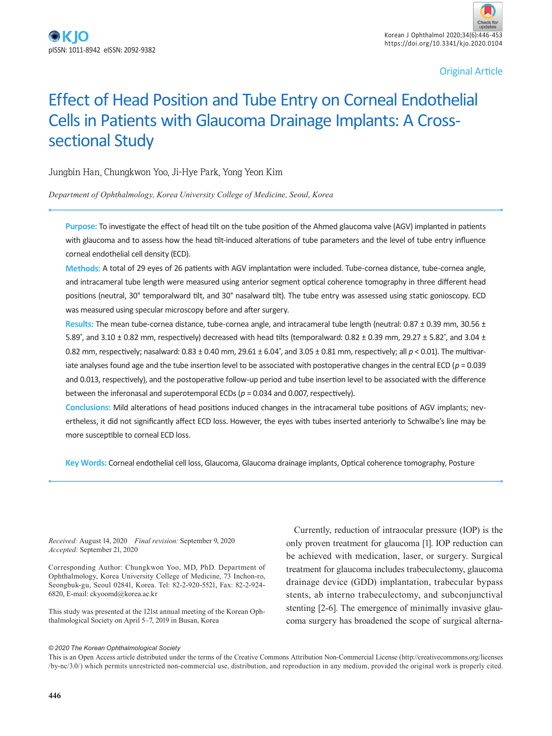Original Article

# Effect of Head Position and Tube Entry on Corneal Endothelial Cells in Patients with Glaucoma Drainage Implants: A Crosssectional Study

Jungbin Han, Chungkwon Yoo, Ji-Hye Park, Yong Yeon Kim

*Department of Ophthalmology, Korea University College of Medicine, Seoul, Korea*

**Purpose:** To investigate the effect of head tilt on the tube position of the Ahmed glaucoma valve (AGV) implanted in patients with glaucoma and to assess how the head tilt-induced alterations of tube parameters and the level of tube entry influence corneal endothelial cell density (ECD).

**Methods:** A total of 29 eyes of 26 patients with AGV implantation were included. Tube-cornea distance, tube-cornea angle, and intracameral tube length were measured using anterior segment optical coherence tomography in three different head positions (neutral, 30° temporalward tilt, and 30° nasalward tilt). The tube entry was assessed using static gonioscopy. ECD was measured using specular microscopy before and after surgery.

**Results:** The mean tube-cornea distance, tube-cornea angle, and intracameral tube length (neutral: 0.87 ± 0.39 mm, 30.56 ± 5.89°, and 3.10  $\pm$  0.82 mm, respectively) decreased with head tilts (temporalward: 0.82  $\pm$  0.39 mm, 29.27  $\pm$  5.82°, and 3.04  $\pm$ 0.82 mm, respectively; nasalward: 0.83 ± 0.40 mm, 29.61 ± 6.04˚, and 3.05 ± 0.81 mm, respectively; all *p* < 0.01). The multivariate analyses found age and the tube insertion level to be associated with postoperative changes in the central ECD (*p* = 0.039 and 0.013, respectively), and the postoperative follow-up period and tube insertion level to be associated with the difference between the inferonasal and superotemporal ECDs (*p* = 0.034 and 0.007, respectively).

**Conclusions:** Mild alterations of head positions induced changes in the intracameral tube positions of AGV implants; nevertheless, it did not significantly affect ECD loss. However, the eyes with tubes inserted anteriorly to Schwalbe's line may be more susceptible to corneal ECD loss.

**Key Words:** Corneal endothelial cell loss, Glaucoma, Glaucoma drainage implants, Optical coherence tomography, Posture

*Received:* August 14, 2020 *Final revision:* September 9, 2020 *Accepted:* September 21, 2020

Corresponding Author: Chungkwon Yoo, MD, PhD. Department of Ophthalmology, Korea University College of Medicine, 73 Inchon-ro, Seongbuk-gu, Seoul 02841, Korea. Tel: 82-2-920-5521, Fax: 82-2-924- 6820, E-mail: ckyoomd@korea.ac.kr

This study was presented at the 121st annual meeting of the Korean Ophthalmological Society on April 5–7, 2019 in Busan, Korea

Currently, reduction of intraocular pressure (IOP) is the only proven treatment for glaucoma [1]. IOP reduction can be achieved with medication, laser, or surgery. Surgical treatment for glaucoma includes trabeculectomy, glaucoma drainage device (GDD) implantation, trabecular bypass stents, ab interno trabeculectomy, and subconjunctival stenting [2-6]. The emergence of minimally invasive glaucoma surgery has broadened the scope of surgical alterna-

#### *© 2020 The Korean Ophthalmological Society*

This is an Open Access article distributed under the terms of the Creative Commons Attribution Non-Commercial License (http://creativecommons.org/licenses /by-nc/3.0/) which permits unrestricted non-commercial use, distribution, and reproduction in any medium, provided the original work is properly cited.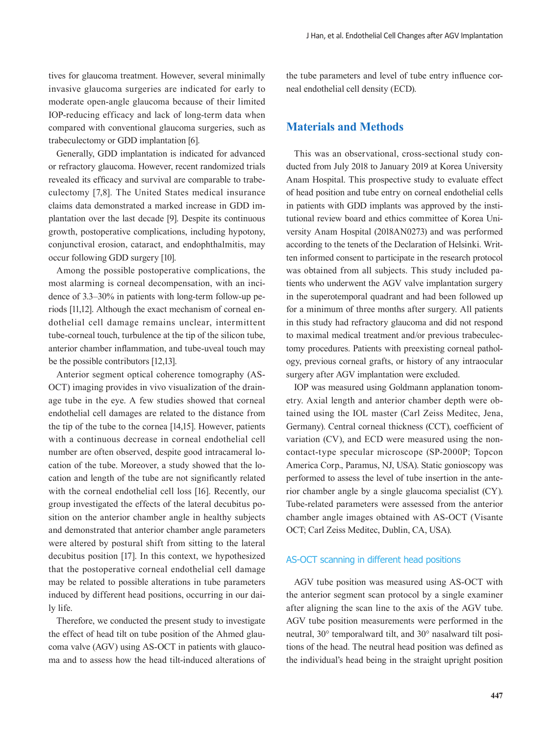tives for glaucoma treatment. However, several minimally invasive glaucoma surgeries are indicated for early to moderate open-angle glaucoma because of their limited IOP-reducing efficacy and lack of long-term data when compared with conventional glaucoma surgeries, such as trabeculectomy or GDD implantation [6].

Generally, GDD implantation is indicated for advanced or refractory glaucoma. However, recent randomized trials revealed its efficacy and survival are comparable to trabeculectomy [7,8]. The United States medical insurance claims data demonstrated a marked increase in GDD implantation over the last decade [9]. Despite its continuous growth, postoperative complications, including hypotony, conjunctival erosion, cataract, and endophthalmitis, may occur following GDD surgery [10].

Among the possible postoperative complications, the most alarming is corneal decompensation, with an incidence of 3.3–30% in patients with long-term follow-up periods [11,12]. Although the exact mechanism of corneal endothelial cell damage remains unclear, intermittent tube-corneal touch, turbulence at the tip of the silicon tube, anterior chamber inflammation, and tube-uveal touch may be the possible contributors [12,13].

Anterior segment optical coherence tomography (AS-OCT) imaging provides in vivo visualization of the drainage tube in the eye. A few studies showed that corneal endothelial cell damages are related to the distance from the tip of the tube to the cornea [14,15]. However, patients with a continuous decrease in corneal endothelial cell number are often observed, despite good intracameral location of the tube. Moreover, a study showed that the location and length of the tube are not significantly related with the corneal endothelial cell loss [16]. Recently, our group investigated the effects of the lateral decubitus position on the anterior chamber angle in healthy subjects and demonstrated that anterior chamber angle parameters were altered by postural shift from sitting to the lateral decubitus position [17]. In this context, we hypothesized that the postoperative corneal endothelial cell damage may be related to possible alterations in tube parameters induced by different head positions, occurring in our daily life.

Therefore, we conducted the present study to investigate the effect of head tilt on tube position of the Ahmed glaucoma valve (AGV) using AS-OCT in patients with glaucoma and to assess how the head tilt-induced alterations of the tube parameters and level of tube entry influence corneal endothelial cell density (ECD).

# **Materials and Methods**

This was an observational, cross-sectional study conducted from July 2018 to January 2019 at Korea University Anam Hospital. This prospective study to evaluate effect of head position and tube entry on corneal endothelial cells in patients with GDD implants was approved by the institutional review board and ethics committee of Korea University Anam Hospital (2018AN0273) and was performed according to the tenets of the Declaration of Helsinki. Written informed consent to participate in the research protocol was obtained from all subjects. This study included patients who underwent the AGV valve implantation surgery in the superotemporal quadrant and had been followed up for a minimum of three months after surgery. All patients in this study had refractory glaucoma and did not respond to maximal medical treatment and/or previous trabeculectomy procedures. Patients with preexisting corneal pathology, previous corneal grafts, or history of any intraocular surgery after AGV implantation were excluded.

IOP was measured using Goldmann applanation tonometry. Axial length and anterior chamber depth were obtained using the IOL master (Carl Zeiss Meditec, Jena, Germany). Central corneal thickness (CCT), coefficient of variation (CV), and ECD were measured using the noncontact-type specular microscope (SP-2000P; Topcon America Corp., Paramus, NJ, USA). Static gonioscopy was performed to assess the level of tube insertion in the anterior chamber angle by a single glaucoma specialist (CY). Tube-related parameters were assessed from the anterior chamber angle images obtained with AS-OCT (Visante OCT; Carl Zeiss Meditec, Dublin, CA, USA).

#### AS-OCT scanning in different head positions

AGV tube position was measured using AS-OCT with the anterior segment scan protocol by a single examiner after aligning the scan line to the axis of the AGV tube. AGV tube position measurements were performed in the neutral, 30° temporalward tilt, and 30° nasalward tilt positions of the head. The neutral head position was defined as the individual's head being in the straight upright position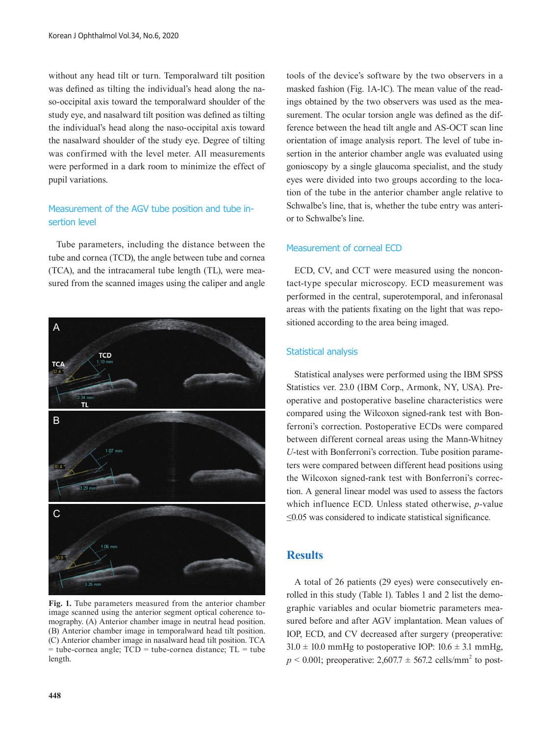without any head tilt or turn. Temporalward tilt position was defined as tilting the individual's head along the naso-occipital axis toward the temporalward shoulder of the study eye, and nasalward tilt position was defined as tilting the individual's head along the naso-occipital axis toward the nasalward shoulder of the study eye. Degree of tilting was confirmed with the level meter. All measurements were performed in a dark room to minimize the effect of pupil variations.

## Measurement of the AGV tube position and tube insertion level

Tube parameters, including the distance between the tube and cornea (TCD), the angle between tube and cornea (TCA), and the intracameral tube length (TL), were measured from the scanned images using the caliper and angle



**Fig. 1.** Tube parameters measured from the anterior chamber image scanned using the anterior segment optical coherence tomography. (A) Anterior chamber image in neutral head position. (B) Anterior chamber image in temporalward head tilt position. (C) Anterior chamber image in nasalward head tilt position. TCA  $=$  tube-cornea angle;  $TCD =$  tube-cornea distance;  $TL =$  tube length.

tools of the device's software by the two observers in a masked fashion (Fig. 1A-1C). The mean value of the readings obtained by the two observers was used as the measurement. The ocular torsion angle was defined as the difference between the head tilt angle and AS-OCT scan line orientation of image analysis report. The level of tube insertion in the anterior chamber angle was evaluated using gonioscopy by a single glaucoma specialist, and the study eyes were divided into two groups according to the location of the tube in the anterior chamber angle relative to Schwalbe's line, that is, whether the tube entry was anterior to Schwalbe's line.

#### Measurement of corneal ECD

ECD, CV, and CCT were measured using the noncontact-type specular microscopy. ECD measurement was performed in the central, superotemporal, and inferonasal areas with the patients fixating on the light that was repositioned according to the area being imaged.

#### Statistical analysis

Statistical analyses were performed using the IBM SPSS Statistics ver. 23.0 (IBM Corp., Armonk, NY, USA). Preoperative and postoperative baseline characteristics were compared using the Wilcoxon signed-rank test with Bonferroni's correction. Postoperative ECDs were compared between different corneal areas using the Mann-Whitney *U*-test with Bonferroni's correction. Tube position parameters were compared between different head positions using the Wilcoxon signed-rank test with Bonferroni's correction. A general linear model was used to assess the factors which influence ECD. Unless stated otherwise, *p-*value ≤0.05 was considered to indicate statistical significance.

## **Results**

A total of 26 patients (29 eyes) were consecutively enrolled in this study (Table 1). Tables 1 and 2 list the demographic variables and ocular biometric parameters measured before and after AGV implantation. Mean values of IOP, ECD, and CV decreased after surgery (preoperative:  $31.0 \pm 10.0$  mmHg to postoperative IOP:  $10.6 \pm 3.1$  mmHg,  $p \le 0.001$ ; preoperative:  $2{,}607.7 \pm 567.2$  cells/mm<sup>2</sup> to post-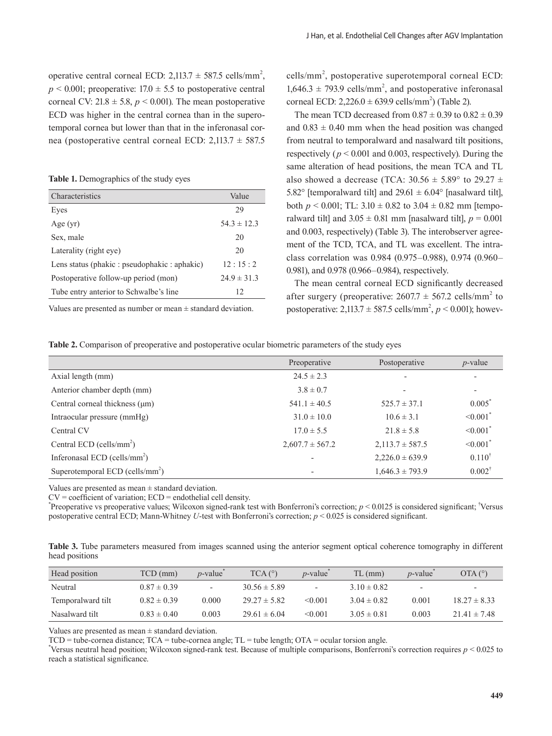operative central corneal ECD:  $2,113.7 \pm 587.5$  cells/mm<sup>2</sup>,  $p \le 0.001$ ; preoperative: 17.0  $\pm$  5.5 to postoperative central corneal CV:  $21.8 \pm 5.8$ ,  $p \le 0.001$ ). The mean postoperative ECD was higher in the central cornea than in the superotemporal cornea but lower than that in the inferonasal cornea (postoperative central corneal ECD: 2,113.7 ± 587.5

**Table 1.** Demographics of the study eyes

| Characteristics                               | Value           |
|-----------------------------------------------|-----------------|
| Eyes                                          | 29              |
| Age $(yr)$                                    | $54.3 \pm 12.3$ |
| Sex, male                                     | 20              |
| Laterality (right eye)                        | 20              |
| Lens status (phakic : pseudophakic : aphakic) | 12:15:2         |
| Postoperative follow-up period (mon)          | $24.9 \pm 31.3$ |
| Tube entry anterior to Schwalbe's line        | 12              |

Values are presented as number or mean  $\pm$  standard deviation.

cells/mm<sup>2</sup>, postoperative superotemporal corneal ECD:  $1,646.3 \pm 793.9$  cells/mm<sup>2</sup>, and postoperative inferonasal corneal ECD:  $2,226.0 \pm 639.9$  cells/mm<sup>2</sup>) (Table 2).

The mean TCD decreased from  $0.87 \pm 0.39$  to  $0.82 \pm 0.39$ and  $0.83 \pm 0.40$  mm when the head position was changed from neutral to temporalward and nasalward tilt positions, respectively ( $p < 0.001$  and 0.003, respectively). During the same alteration of head positions, the mean TCA and TL also showed a decrease (TCA:  $30.56 \pm 5.89^{\circ}$  to  $29.27 \pm 1.5$ 5.82° [temporalward tilt] and  $29.61 \pm 6.04$ ° [nasalward tilt], both  $p < 0.001$ ; TL:  $3.10 \pm 0.82$  to  $3.04 \pm 0.82$  mm [temporalward tilt] and  $3.05 \pm 0.81$  mm [nasalward tilt],  $p = 0.001$ and 0.003, respectively) (Table 3). The interobserver agreement of the TCD, TCA, and TL was excellent. The intraclass correlation was 0.984 (0.975–0.988), 0.974 (0.960– 0.981), and 0.978 (0.966–0.984), respectively.

The mean central corneal ECD significantly decreased after surgery (preoperative:  $2607.7 \pm 567.2$  cells/mm<sup>2</sup> to postoperative:  $2,113.7 \pm 587.5$  cells/mm<sup>2</sup>,  $p < 0.001$ ); howev-

**Table 2.** Comparison of preoperative and postoperative ocular biometric parameters of the study eyes

|                                      | Preoperative             | Postoperative            | $p$ -value                |
|--------------------------------------|--------------------------|--------------------------|---------------------------|
| Axial length (mm)                    | $24.5 \pm 2.3$           |                          | $\overline{\phantom{a}}$  |
| Anterior chamber depth (mm)          | $3.8 \pm 0.7$            | $\overline{\phantom{a}}$ | ٠                         |
| Central corneal thickness (um)       | $541.1 \pm 40.5$         | $525.7 \pm 37.1$         | $0.005^*$                 |
| Intraocular pressure (mmHg)          | $31.0 \pm 10.0$          | $10.6 \pm 3.1$           | $\leq 0.001$ <sup>*</sup> |
| Central CV                           | $17.0 \pm 5.5$           | $21.8 \pm 5.8$           | $\leq 0.001$ <sup>*</sup> |
| Central ECD (cells/mm <sup>2</sup> ) | $2,607.7 \pm 567.2$      | $2,113.7 \pm 587.5$      | $\leq 0.001$ <sup>*</sup> |
| Inferonasal ECD (cells/ $mm2$ )      | $\overline{a}$           | $2,226.0 \pm 639.9$      | $0.110^{\dagger}$         |
| Superotemporal ECD (cells/ $mm2$ )   | $\overline{\phantom{a}}$ | $1,646.3 \pm 793.9$      | $0.002^{\dagger}$         |

Values are presented as mean  $\pm$  standard deviation.

 $CV = coefficient of variation$ ;  $ECD = endothelial cell density$ .

\* Preoperative vs preoperative values; Wilcoxon signed-rank test with Bonferroni's correction; *p* < 0.0125 is considered significant; † Versus postoperative central ECD; Mann-Whitney *U*-test with Bonferroni's correction; *p* < 0.025 is considered significant.

**Table 3.** Tube parameters measured from images scanned using the anterior segment optical coherence tomography in different head positions

| Head position     | TCD (mm)        | $p$ -value | $TCA(^{\circ})$  | $p$ -value               | $TL$ (mm)       | $p$ -value               | OTA (°)                  |
|-------------------|-----------------|------------|------------------|--------------------------|-----------------|--------------------------|--------------------------|
| Neutral           | $0.87 \pm 0.39$ |            | $30.56 \pm 5.89$ | $\overline{\phantom{a}}$ | $3.10 \pm 0.82$ | $\overline{\phantom{0}}$ | $\overline{\phantom{0}}$ |
| Temporalward tilt | $0.82 \pm 0.39$ | 0.000      | $29.27 \pm 5.82$ | < 0.001                  | $3.04 \pm 0.82$ | 0.001                    | $18.27 \pm 8.33$         |
| Nasalward tilt    | $0.83 \pm 0.40$ | 0.003      | $29.61 \pm 6.04$ | < 0.001                  | $3.05 \pm 0.81$ | 0.003                    | $21.41 \pm 7.48$         |

Values are presented as mean ± standard deviation.

 $TCD =$  tube-cornea distance;  $TCA =$  tube-cornea angle;  $TL =$  tube length;  $OTA =$  ocular torsion angle.

\* Versus neutral head position; Wilcoxon signed-rank test. Because of multiple comparisons, Bonferroni's correction requires *p* < 0.025 to reach a statistical significance.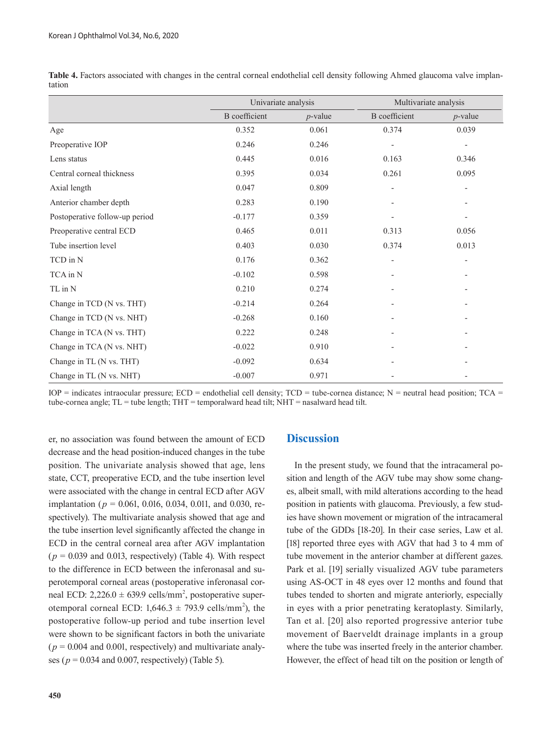|                                | Univariate analysis  |            | Multivariate analysis    |                          |
|--------------------------------|----------------------|------------|--------------------------|--------------------------|
|                                | <b>B</b> coefficient | $p$ -value | <b>B</b> coefficient     | $p$ -value               |
| Age                            | 0.352                | 0.061      | 0.374                    | 0.039                    |
| Preoperative IOP               | 0.246                | 0.246      |                          | $\overline{\phantom{a}}$ |
| Lens status                    | 0.445                | 0.016      | 0.163                    | 0.346                    |
| Central corneal thickness      | 0.395                | 0.034      | 0.261                    | 0.095                    |
| Axial length                   | 0.047                | 0.809      | $\overline{a}$           | $\overline{\phantom{0}}$ |
| Anterior chamber depth         | 0.283                | 0.190      |                          |                          |
| Postoperative follow-up period | $-0.177$             | 0.359      |                          |                          |
| Preoperative central ECD       | 0.465                | 0.011      | 0.313                    | 0.056                    |
| Tube insertion level           | 0.403                | 0.030      | 0.374                    | 0.013                    |
| TCD in N                       | 0.176                | 0.362      | $\overline{\phantom{a}}$ |                          |
| TCA in N                       | $-0.102$             | 0.598      |                          |                          |
| TL in N                        | 0.210                | 0.274      |                          |                          |
| Change in TCD (N vs. THT)      | $-0.214$             | 0.264      |                          |                          |
| Change in TCD (N vs. NHT)      | $-0.268$             | 0.160      | $\overline{\phantom{0}}$ |                          |
| Change in TCA (N vs. THT)      | 0.222                | 0.248      |                          |                          |
| Change in TCA (N vs. NHT)      | $-0.022$             | 0.910      |                          |                          |
| Change in TL (N vs. THT)       | $-0.092$             | 0.634      |                          |                          |
| Change in TL (N vs. NHT)       | $-0.007$             | 0.971      |                          |                          |

**Table 4.** Factors associated with changes in the central corneal endothelial cell density following Ahmed glaucoma valve implantation

 $IOP$  = indicates intraocular pressure;  $ECD$  = endothelial cell density;  $TCD$  = tube-cornea distance; N = neutral head position;  $TCA$ tube-cornea angle; TL = tube length; THT = temporalward head tilt; NHT = nasalward head tilt.

er, no association was found between the amount of ECD decrease and the head position-induced changes in the tube position. The univariate analysis showed that age, lens state, CCT, preoperative ECD, and the tube insertion level were associated with the change in central ECD after AGV implantation (*p* = 0.061, 0.016, 0.034, 0.011, and 0.030, respectively). The multivariate analysis showed that age and the tube insertion level significantly affected the change in ECD in the central corneal area after AGV implantation  $(p = 0.039$  and 0.013, respectively) (Table 4). With respect to the difference in ECD between the inferonasal and superotemporal corneal areas (postoperative inferonasal corneal ECD:  $2,226.0 \pm 639.9$  cells/mm<sup>2</sup>, postoperative superotemporal corneal ECD:  $1,646.3 \pm 793.9$  cells/mm<sup>2</sup>), the postoperative follow-up period and tube insertion level were shown to be significant factors in both the univariate  $(p = 0.004$  and 0.001, respectively) and multivariate analyses (*p* = 0.034 and 0.007, respectively) (Table 5).

## **Discussion**

In the present study, we found that the intracameral position and length of the AGV tube may show some changes, albeit small, with mild alterations according to the head position in patients with glaucoma. Previously, a few studies have shown movement or migration of the intracameral tube of the GDDs [18-20]. In their case series, Law et al. [18] reported three eyes with AGV that had 3 to 4 mm of tube movement in the anterior chamber at different gazes. Park et al. [19] serially visualized AGV tube parameters using AS-OCT in 48 eyes over 12 months and found that tubes tended to shorten and migrate anteriorly, especially in eyes with a prior penetrating keratoplasty. Similarly, Tan et al. [20] also reported progressive anterior tube movement of Baerveldt drainage implants in a group where the tube was inserted freely in the anterior chamber. However, the effect of head tilt on the position or length of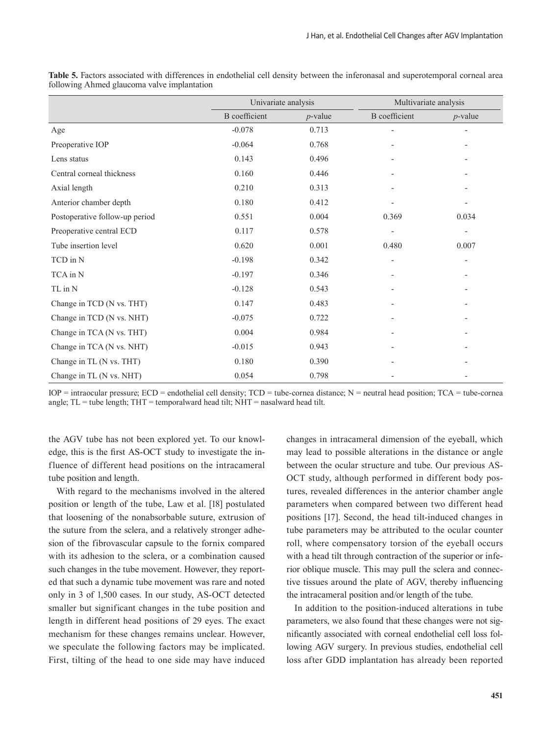|                                | Univariate analysis  |            | Multivariate analysis    |                          |
|--------------------------------|----------------------|------------|--------------------------|--------------------------|
|                                | <b>B</b> coefficient | $p$ -value | <b>B</b> coefficient     | $p$ -value               |
| Age                            | $-0.078$             | 0.713      |                          |                          |
| Preoperative IOP               | $-0.064$             | 0.768      |                          |                          |
| Lens status                    | 0.143                | 0.496      |                          | $\overline{\phantom{a}}$ |
| Central corneal thickness      | 0.160                | 0.446      |                          | $\overline{\phantom{a}}$ |
| Axial length                   | 0.210                | 0.313      |                          |                          |
| Anterior chamber depth         | 0.180                | 0.412      |                          |                          |
| Postoperative follow-up period | 0.551                | 0.004      | 0.369                    | 0.034                    |
| Preoperative central ECD       | 0.117                | 0.578      | $\overline{\phantom{0}}$ |                          |
| Tube insertion level           | 0.620                | 0.001      | 0.480                    | 0.007                    |
| TCD in N                       | $-0.198$             | 0.342      |                          |                          |
| TCA in N                       | $-0.197$             | 0.346      |                          |                          |
| TL in N                        | $-0.128$             | 0.543      |                          |                          |
| Change in TCD (N vs. THT)      | 0.147                | 0.483      | $\overline{\phantom{0}}$ | $\overline{\phantom{a}}$ |
| Change in TCD (N vs. NHT)      | $-0.075$             | 0.722      |                          |                          |
| Change in TCA (N vs. THT)      | 0.004                | 0.984      |                          |                          |
| Change in TCA (N vs. NHT)      | $-0.015$             | 0.943      |                          |                          |
| Change in TL (N vs. THT)       | 0.180                | 0.390      |                          |                          |
| Change in TL (N vs. NHT)       | 0.054                | 0.798      |                          |                          |

**Table 5.** Factors associated with differences in endothelial cell density between the inferonasal and superotemporal corneal area following Ahmed glaucoma valve implantation

 $IOP$  = intraocular pressure;  $ECD$  = endothelial cell density;  $TCD$  = tube-cornea distance; N = neutral head position;  $TCA$  = tube-cornea angle;  $TL =$  tube length;  $THT =$  temporalward head tilt;  $NHT =$  nasalward head tilt.

the AGV tube has not been explored yet. To our knowledge, this is the first AS-OCT study to investigate the influence of different head positions on the intracameral tube position and length.

With regard to the mechanisms involved in the altered position or length of the tube, Law et al. [18] postulated that loosening of the nonabsorbable suture, extrusion of the suture from the sclera, and a relatively stronger adhesion of the fibrovascular capsule to the fornix compared with its adhesion to the sclera, or a combination caused such changes in the tube movement. However, they reported that such a dynamic tube movement was rare and noted only in 3 of 1,500 cases. In our study, AS-OCT detected smaller but significant changes in the tube position and length in different head positions of 29 eyes. The exact mechanism for these changes remains unclear. However, we speculate the following factors may be implicated. First, tilting of the head to one side may have induced

changes in intracameral dimension of the eyeball, which may lead to possible alterations in the distance or angle between the ocular structure and tube. Our previous AS-OCT study, although performed in different body postures, revealed differences in the anterior chamber angle parameters when compared between two different head positions [17]. Second, the head tilt-induced changes in tube parameters may be attributed to the ocular counter roll, where compensatory torsion of the eyeball occurs with a head tilt through contraction of the superior or inferior oblique muscle. This may pull the sclera and connective tissues around the plate of AGV, thereby influencing the intracameral position and/or length of the tube.

In addition to the position-induced alterations in tube parameters, we also found that these changes were not significantly associated with corneal endothelial cell loss following AGV surgery. In previous studies, endothelial cell loss after GDD implantation has already been reported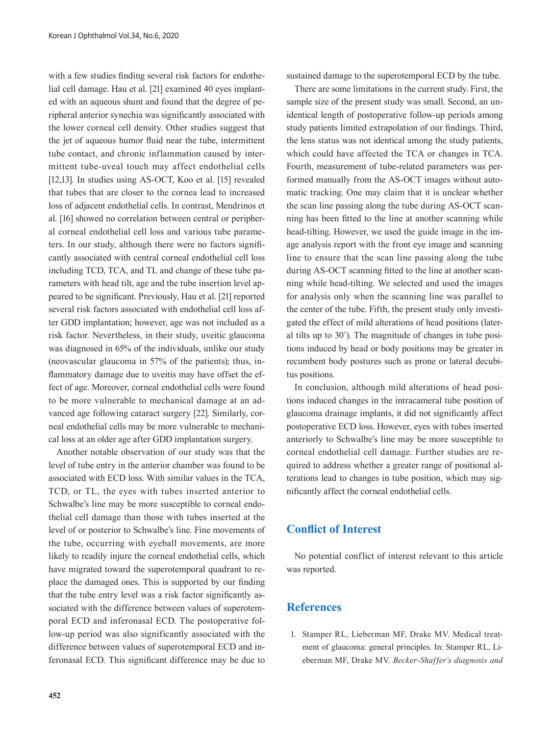with a few studies finding several risk factors for endothelial cell damage. Hau et al. [21] examined 40 eyes implanted with an aqueous shunt and found that the degree of peripheral anterior synechia was significantly associated with the lower corneal cell density. Other studies suggest that the jet of aqueous humor fluid near the tube, intermittent tube contact, and chronic inflammation caused by intermittent tube-uveal touch may affect endothelial cells [12,13]. In studies using AS-OCT, Koo et al. [15] revealed that tubes that are closer to the cornea lead to increased loss of adjacent endothelial cells. In contrast, Mendrinos et al. [16] showed no correlation between central or peripheral corneal endothelial cell loss and various tube parameters. In our study, although there were no factors significantly associated with central corneal endothelial cell loss including TCD, TCA, and TL and change of these tube parameters with head tilt, age and the tube insertion level appeared to be significant. Previously, Hau et al. [21] reported several risk factors associated with endothelial cell loss after GDD implantation; however, age was not included as a risk factor. Nevertheless, in their study, uveitic glaucoma was diagnosed in 65% of the individuals, unlike our study (neovascular glaucoma in 57% of the patients); thus, inflammatory damage due to uveitis may have offset the effect of age. Moreover, corneal endothelial cells were found to be more vulnerable to mechanical damage at an advanced age following cataract surgery [22]. Similarly, corneal endothelial cells may be more vulnerable to mechanical loss at an older age after GDD implantation surgery.

Another notable observation of our study was that the level of tube entry in the anterior chamber was found to be associated with ECD loss. With similar values in the TCA, TCD, or TL, the eyes with tubes inserted anterior to Schwalbe's line may be more susceptible to corneal endothelial cell damage than those with tubes inserted at the level of or posterior to Schwalbe's line. Fine movements of the tube, occurring with eyeball movements, are more likely to readily injure the corneal endothelial cells, which have migrated toward the superotemporal quadrant to replace the damaged ones. This is supported by our finding that the tube entry level was a risk factor significantly associated with the difference between values of superotemporal ECD and inferonasal ECD. The postoperative follow-up period was also significantly associated with the difference between values of superotemporal ECD and inferonasal ECD. This significant difference may be due to

**452**

sustained damage to the superotemporal ECD by the tube.

There are some limitations in the current study. First, the sample size of the present study was small. Second, an unidentical length of postoperative follow-up periods among study patients limited extrapolation of our findings. Third, the lens status was not identical among the study patients, which could have affected the TCA or changes in TCA. Fourth, measurement of tube-related parameters was performed manually from the AS-OCT images without automatic tracking. One may claim that it is unclear whether the scan line passing along the tube during AS-OCT scanning has been fitted to the line at another scanning while head-tilting. However, we used the guide image in the image analysis report with the front eye image and scanning line to ensure that the scan line passing along the tube during AS-OCT scanning fitted to the line at another scanning while head-tilting. We selected and used the images for analysis only when the scanning line was parallel to the center of the tube. Fifth, the present study only investigated the effect of mild alterations of head positions (lateral tilts up to 30˚). The magnitude of changes in tube positions induced by head or body positions may be greater in recumbent body postures such as prone or lateral decubitus positions.

In conclusion, although mild alterations of head positions induced changes in the intracameral tube position of glaucoma drainage implants, it did not significantly affect postoperative ECD loss. However, eyes with tubes inserted anteriorly to Schwalbe's line may be more susceptible to corneal endothelial cell damage. Further studies are required to address whether a greater range of positional alterations lead to changes in tube position, which may significantly affect the corneal endothelial cells.

## **Conflict of Interest**

No potential conflict of interest relevant to this article was reported.

## **References**

1. Stamper RL, Lieberman MF, Drake MV. Medical treatment of glaucoma: general principles. In: Stamper RL, Lieberman MF, Drake MV. *Becker-Shaffer's diagnosis and*